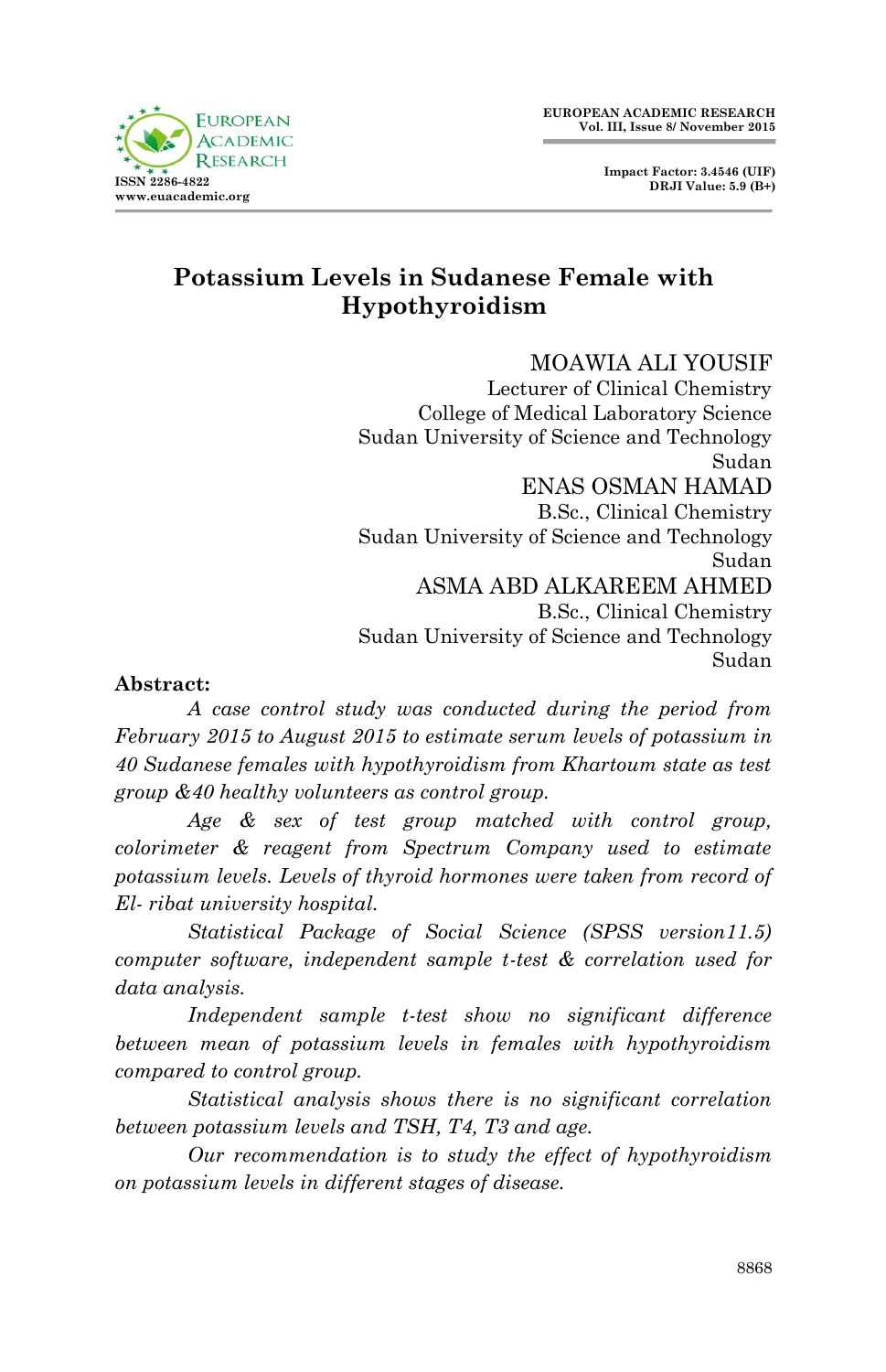# **Potassium Levels in Sudanese Female with Hypothyroidism**

MOAWIA ALI YOUSIF Lecturer of Clinical Chemistry College of Medical Laboratory Science Sudan University of Science and Technology Sudan ENAS OSMAN HAMAD B.Sc., Clinical Chemistry Sudan University of Science and Technology Sudan ASMA ABD ALKAREEM AHMED B.Sc., Clinical Chemistry Sudan University of Science and Technology Sudan

### **Abstract:**

**ISSN 2396-4839 www.euacademic.org**

**FUROPEAN ACADEMIC**  $R$  ESE

*A case control study was conducted during the period from February 2015 to August 2015 to estimate serum levels of potassium in 40 Sudanese females with hypothyroidism from Khartoum state as test group &40 healthy volunteers as control group.*

*Age & sex of test group matched with control group, colorimeter & reagent from Spectrum Company used to estimate potassium levels. Levels of thyroid hormones were taken from record of El- ribat university hospital.*

*Statistical Package of Social Science (SPSS version11.5) computer software, independent sample t-test & correlation used for data analysis.*

*Independent sample t-test show no significant difference between mean of potassium levels in females with hypothyroidism compared to control group.*

*Statistical analysis shows there is no significant correlation between potassium levels and TSH, T4, T3 and age.*

*Our recommendation is to study the effect of hypothyroidism on potassium levels in different stages of disease.*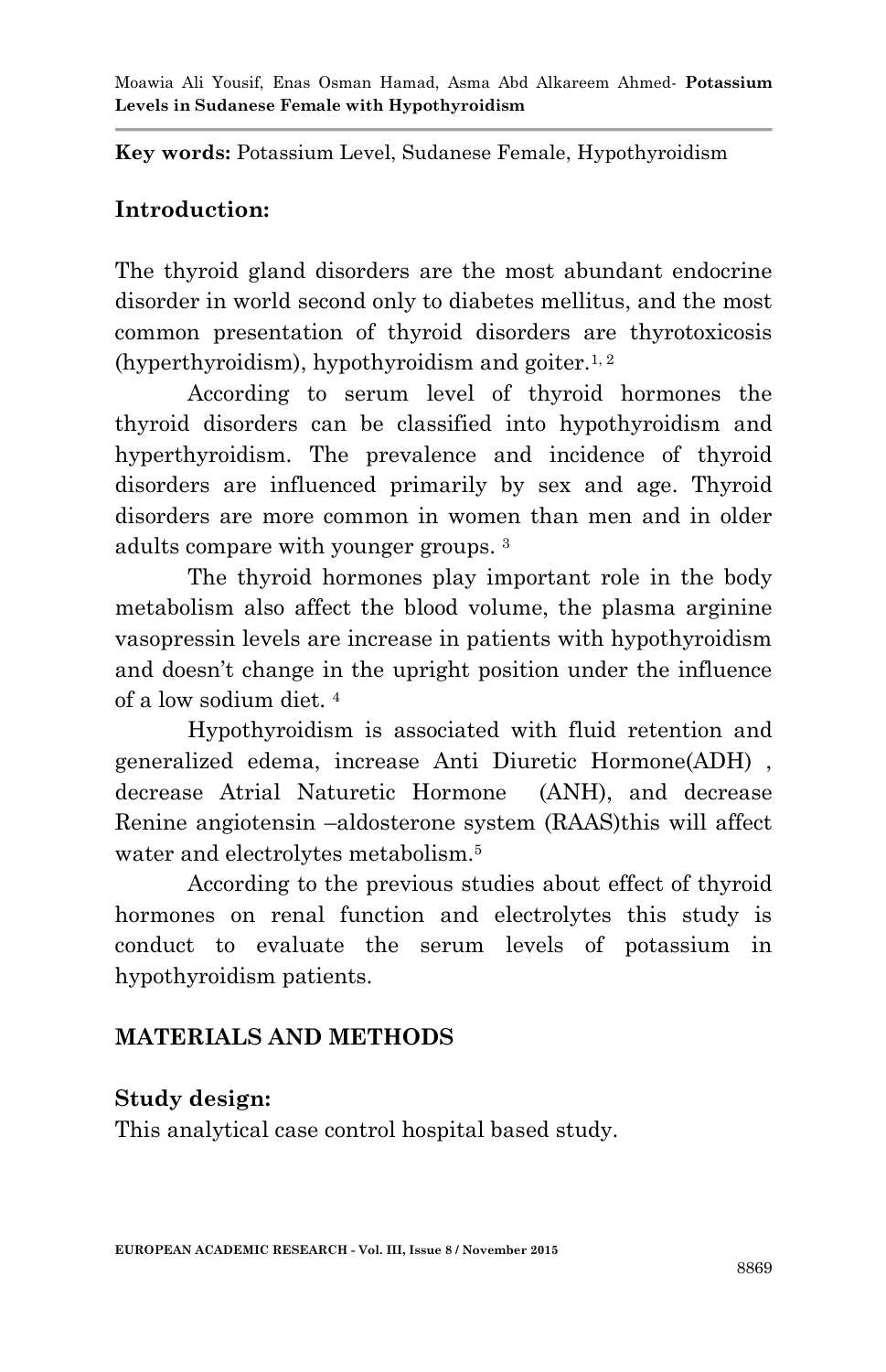**Key words:** Potassium Level, Sudanese Female, Hypothyroidism

# **Introduction:**

The thyroid gland disorders are the most abundant endocrine disorder in world second only to diabetes mellitus, and the most common presentation of thyroid disorders are thyrotoxicosis (hyperthyroidism), hypothyroidism and goiter.<sup>1, 2</sup>

According to serum level of thyroid hormones the thyroid disorders can be classified into hypothyroidism and hyperthyroidism. The prevalence and incidence of thyroid disorders are influenced primarily by sex and age. Thyroid disorders are more common in women than men and in older adults compare with younger groups. <sup>3</sup>

The thyroid hormones play important role in the body metabolism also affect the blood volume, the plasma arginine vasopressin levels are increase in patients with hypothyroidism and doesn't change in the upright position under the influence of a low sodium diet. <sup>4</sup>

Hypothyroidism is associated with fluid retention and generalized edema, increase Anti Diuretic Hormone(ADH) , decrease Atrial Naturetic Hormone (ANH), and decrease Renine angiotensin –aldosterone system (RAAS)this will affect water and electrolytes metabolism.<sup>5</sup>

According to the previous studies about effect of thyroid hormones on renal function and electrolytes this study is conduct to evaluate the serum levels of potassium in hypothyroidism patients.

# **MATERIALS AND METHODS**

## **Study design:**

This analytical case control hospital based study.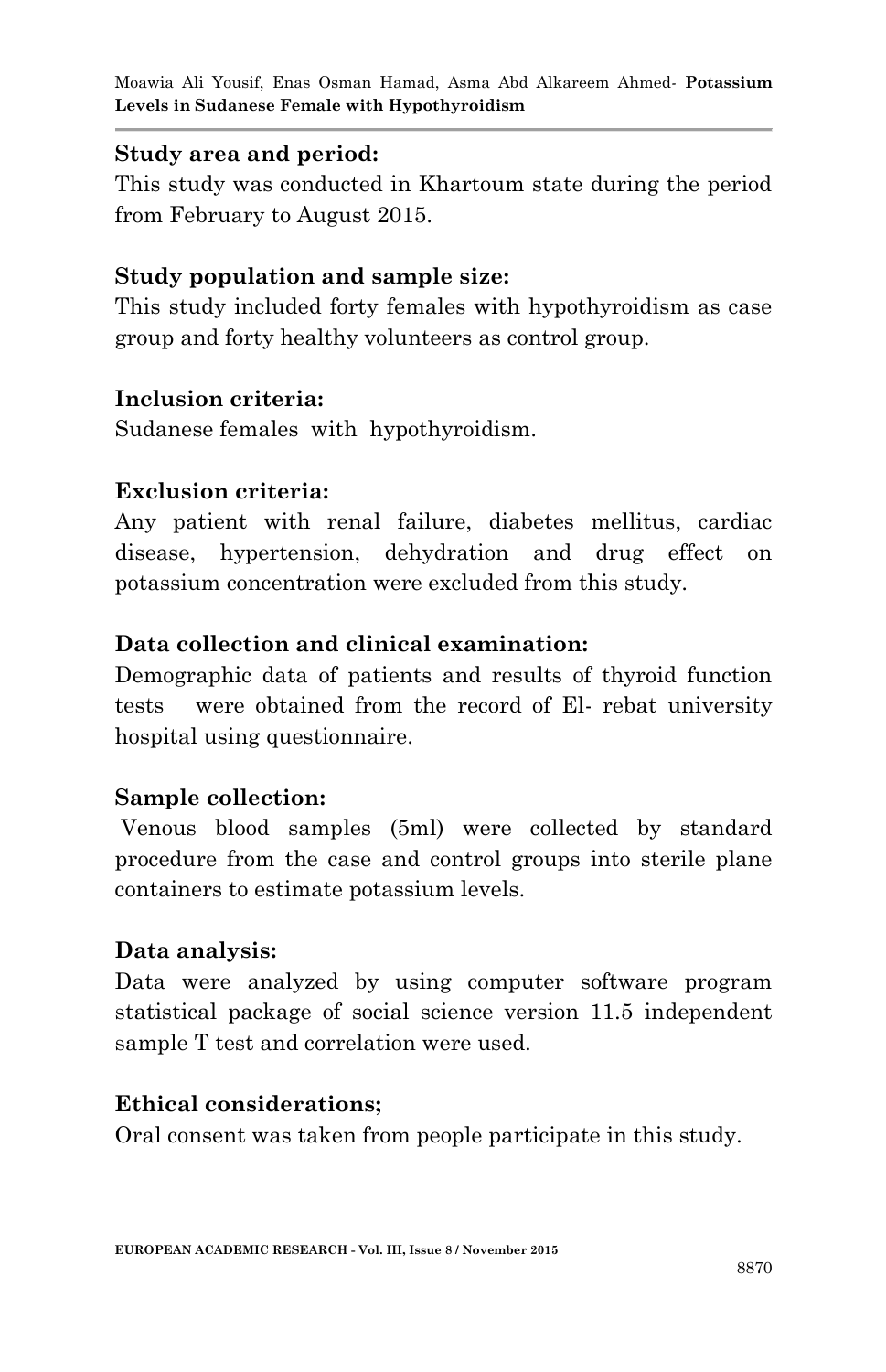Moawia Ali Yousif, Enas Osman Hamad, Asma Abd Alkareem Ahmed*-* **Potassium Levels in Sudanese Female with Hypothyroidism**

#### **Study area and period:**

This study was conducted in Khartoum state during the period from February to August 2015.

### **Study population and sample size:**

This study included forty females with hypothyroidism as case group and forty healthy volunteers as control group.

#### **Inclusion criteria:**

Sudanese females with hypothyroidism.

#### **Exclusion criteria:**

Any patient with renal failure, diabetes mellitus, cardiac disease, hypertension, dehydration and drug effect on potassium concentration were excluded from this study.

### **Data collection and clinical examination:**

Demographic data of patients and results of thyroid function tests were obtained from the record of El- rebat university hospital using questionnaire.

#### **Sample collection:**

Venous blood samples (5ml) were collected by standard procedure from the case and control groups into sterile plane containers to estimate potassium levels.

#### **Data analysis:**

Data were analyzed by using computer software program statistical package of social science version 11.5 independent sample T test and correlation were used.

### **Ethical considerations;**

Oral consent was taken from people participate in this study.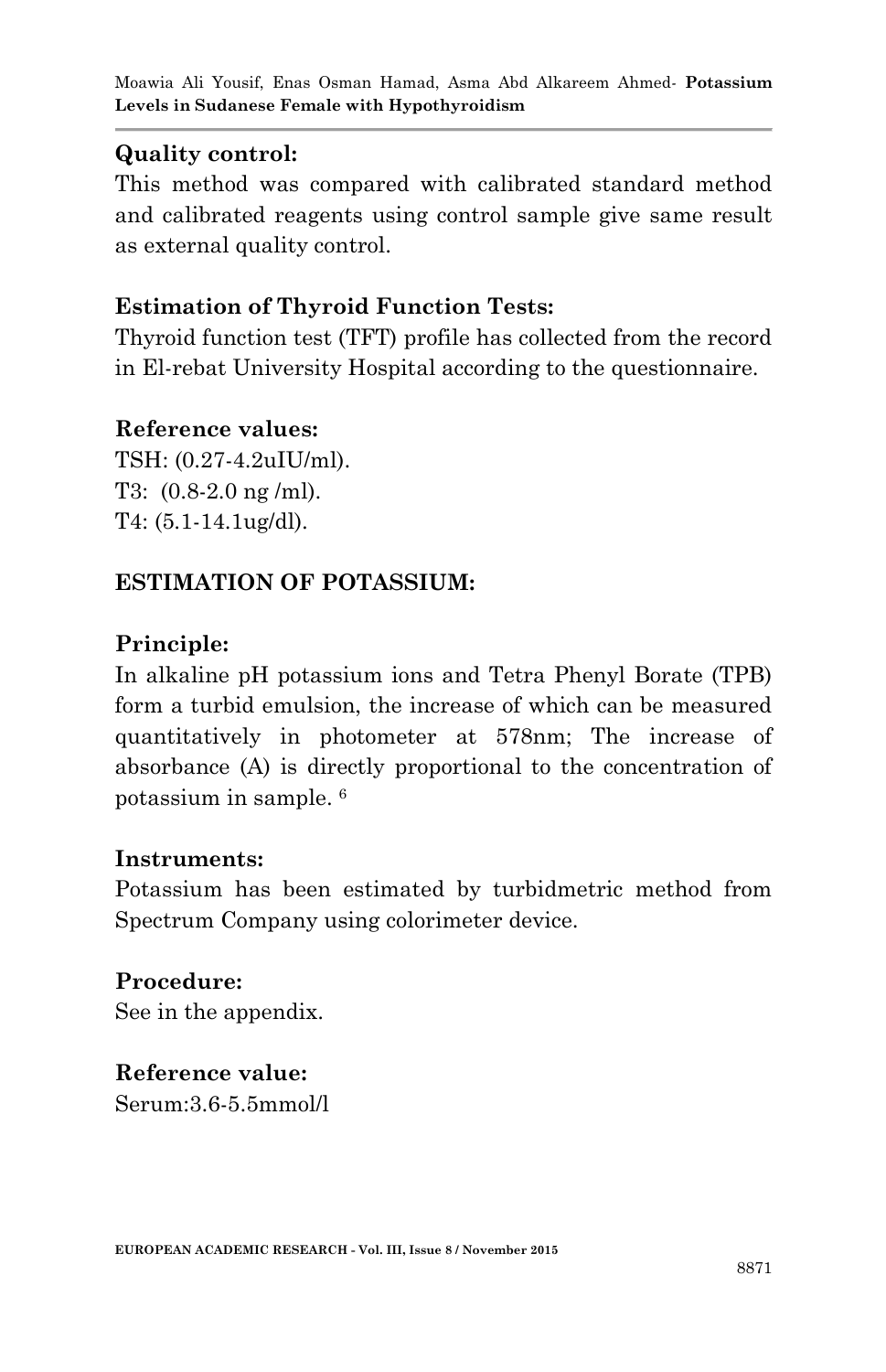## **Quality control:**

This method was compared with calibrated standard method and calibrated reagents using control sample give same result as external quality control.

## **Estimation of Thyroid Function Tests:**

Thyroid function test (TFT) profile has collected from the record in El-rebat University Hospital according to the questionnaire.

### **Reference values:**

TSH: (0.27-4.2uIU/ml). T3: (0.8-2.0 ng /ml). T4: (5.1-14.1ug/dl).

## **ESTIMATION OF POTASSIUM:**

## **Principle:**

In alkaline pH potassium ions and Tetra Phenyl Borate (TPB) form a turbid emulsion, the increase of which can be measured quantitatively in photometer at 578nm; The increase of absorbance (A) is directly proportional to the concentration of potassium in sample. <sup>6</sup>

### **Instruments:**

Potassium has been estimated by turbidmetric method from Spectrum Company using colorimeter device.

**Procedure:** See in the appendix.

**Reference value:**  Serum:3.6-5.5mmol/l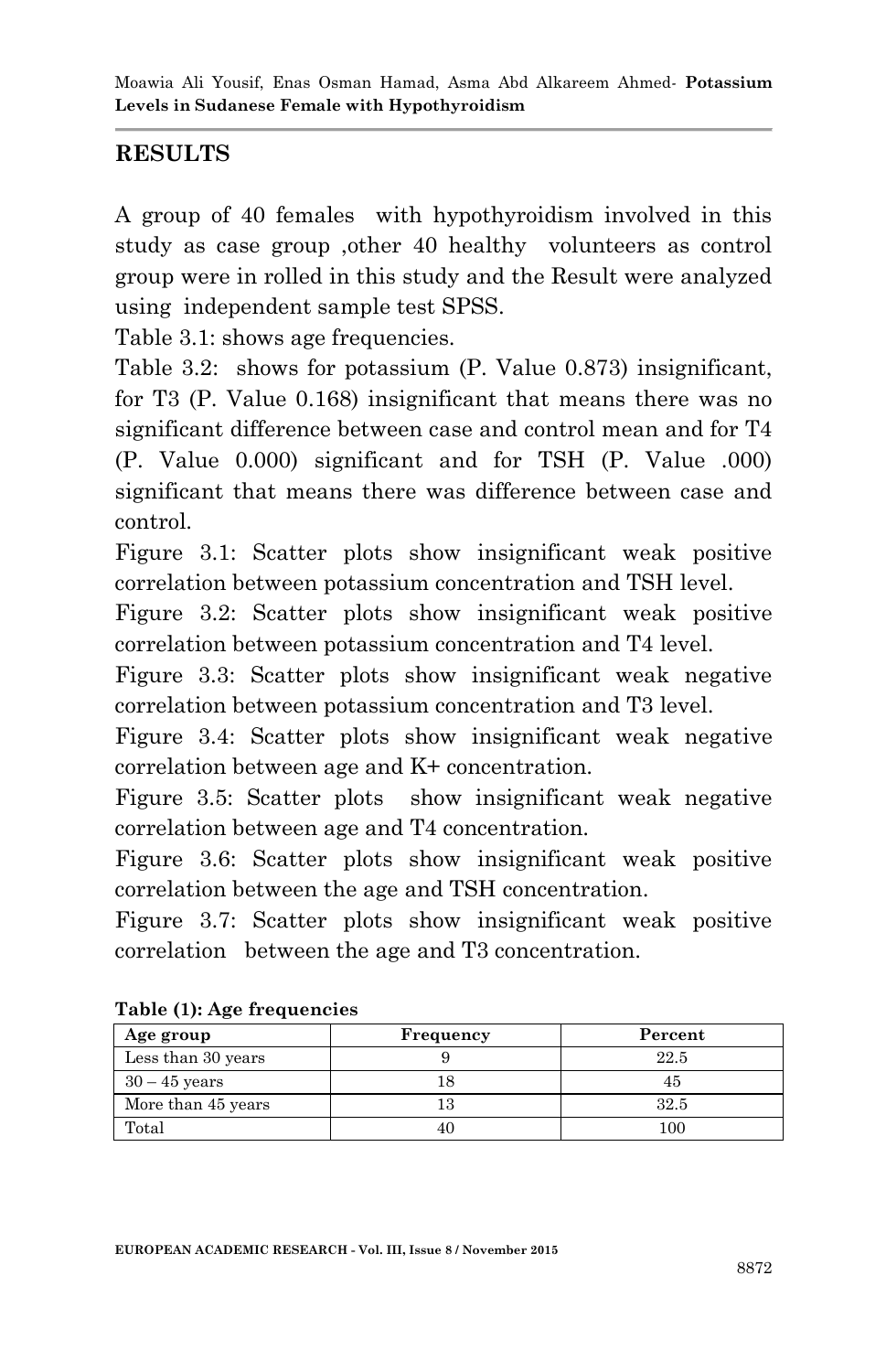### **RESULTS**

A group of 40 females with hypothyroidism involved in this study as case group ,other 40 healthy volunteers as control group were in rolled in this study and the Result were analyzed using independent sample test SPSS.

Table 3.1: shows age frequencies.

Table 3.2: shows for potassium (P. Value 0.873) insignificant, for T3 (P. Value 0.168) insignificant that means there was no significant difference between case and control mean and for T4 (P. Value 0.000) significant and for TSH (P. Value .000) significant that means there was difference between case and control.

Figure 3.1: Scatter plots show insignificant weak positive correlation between potassium concentration and TSH level.

Figure 3.2: Scatter plots show insignificant weak positive correlation between potassium concentration and T4 level.

Figure 3.3: Scatter plots show insignificant weak negative correlation between potassium concentration and T3 level.

Figure 3.4: Scatter plots show insignificant weak negative correlation between age and K+ concentration.

Figure 3.5: Scatter plots show insignificant weak negative correlation between age and T4 concentration.

Figure 3.6: Scatter plots show insignificant weak positive correlation between the age and TSH concentration.

Figure 3.7: Scatter plots show insignificant weak positive correlation between the age and T3 concentration.

| Age group          | Frequency | Percent |  |  |  |
|--------------------|-----------|---------|--|--|--|
| Less than 30 years |           | 22.5    |  |  |  |
| $30 - 45$ years    |           | 45      |  |  |  |
| More than 45 years |           | 32.5    |  |  |  |
| Total              |           | $100\,$ |  |  |  |

**Table (1): Age frequencies**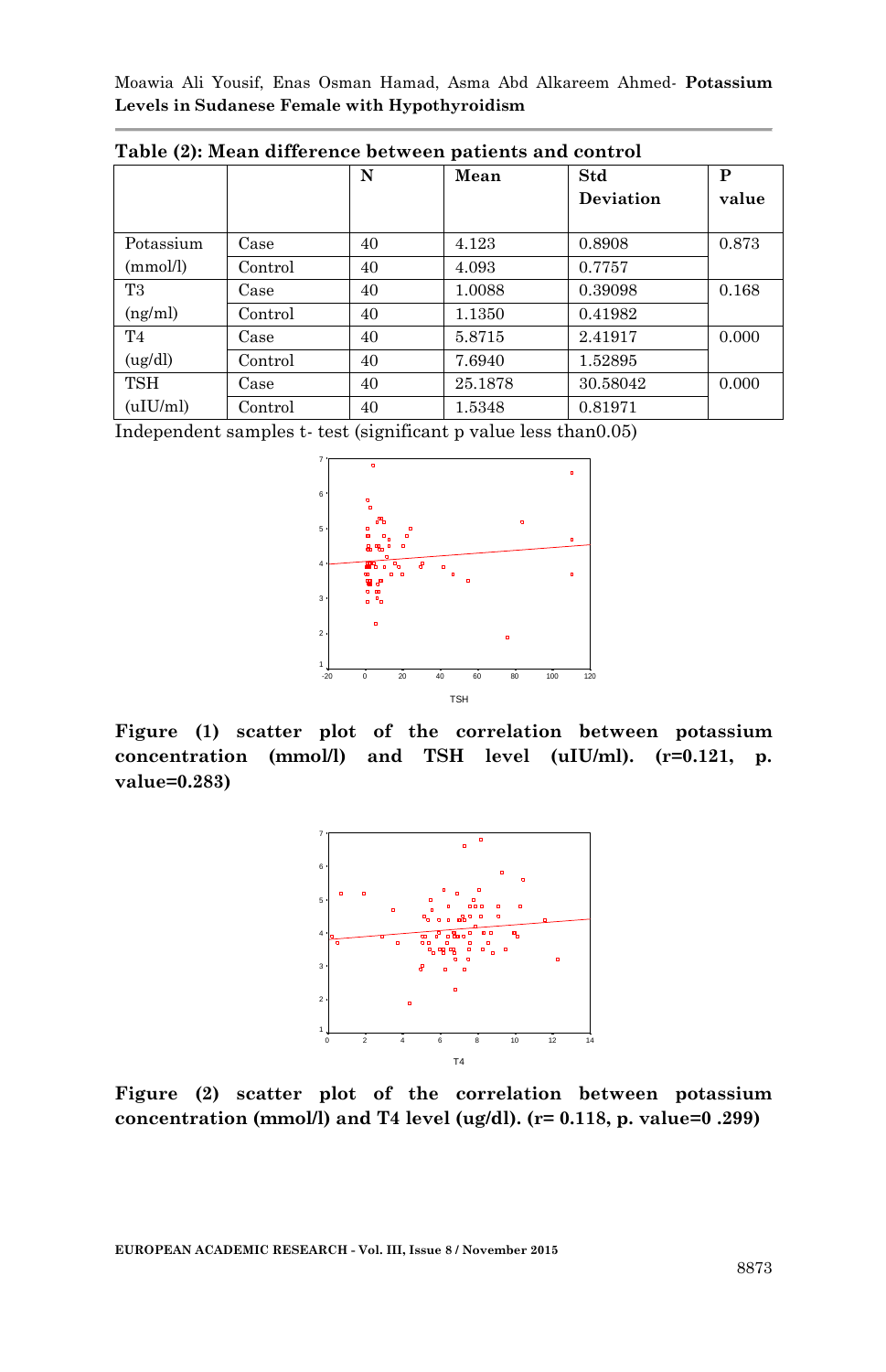Moawia Ali Yousif, Enas Osman Hamad, Asma Abd Alkareem Ahmed*-* **Potassium Levels in Sudanese Female with Hypothyroidism**

|                |         | N  | Mean    | Std       | P     |
|----------------|---------|----|---------|-----------|-------|
|                |         |    |         | Deviation | value |
|                |         |    |         |           |       |
| Potassium      | Case    | 40 | 4.123   | 0.8908    | 0.873 |
| (mmol/l)       | Control | 40 | 4.093   | 0.7757    |       |
| T <sub>3</sub> | Case    | 40 | 1.0088  | 0.39098   | 0.168 |
| (ng/ml)        | Control | 40 | 1.1350  | 0.41982   |       |
| T <sub>4</sub> | Case    | 40 | 5.8715  | 2.41917   | 0.000 |
| (ug/dl)        | Control | 40 | 7.6940  | 1.52895   |       |
| <b>TSH</b>     | Case    | 40 | 25.1878 | 30.58042  | 0.000 |
| (uIU/ml)       | Control | 40 | 1.5348  | 0.81971   |       |

**Table (2): Mean difference between patients and control**

Independent samples t- test (significant p value less than0.05)



**Figure (1) scatter plot of the correlation between potassium concentration (mmol/l) and TSH level (uIU/ml). (r=0.121, p. value=0.283)**



**Figure (2) scatter plot of the correlation between potassium concentration (mmol/l) and T4 level (ug/dl). (r= 0.118, p. value=0 .299)**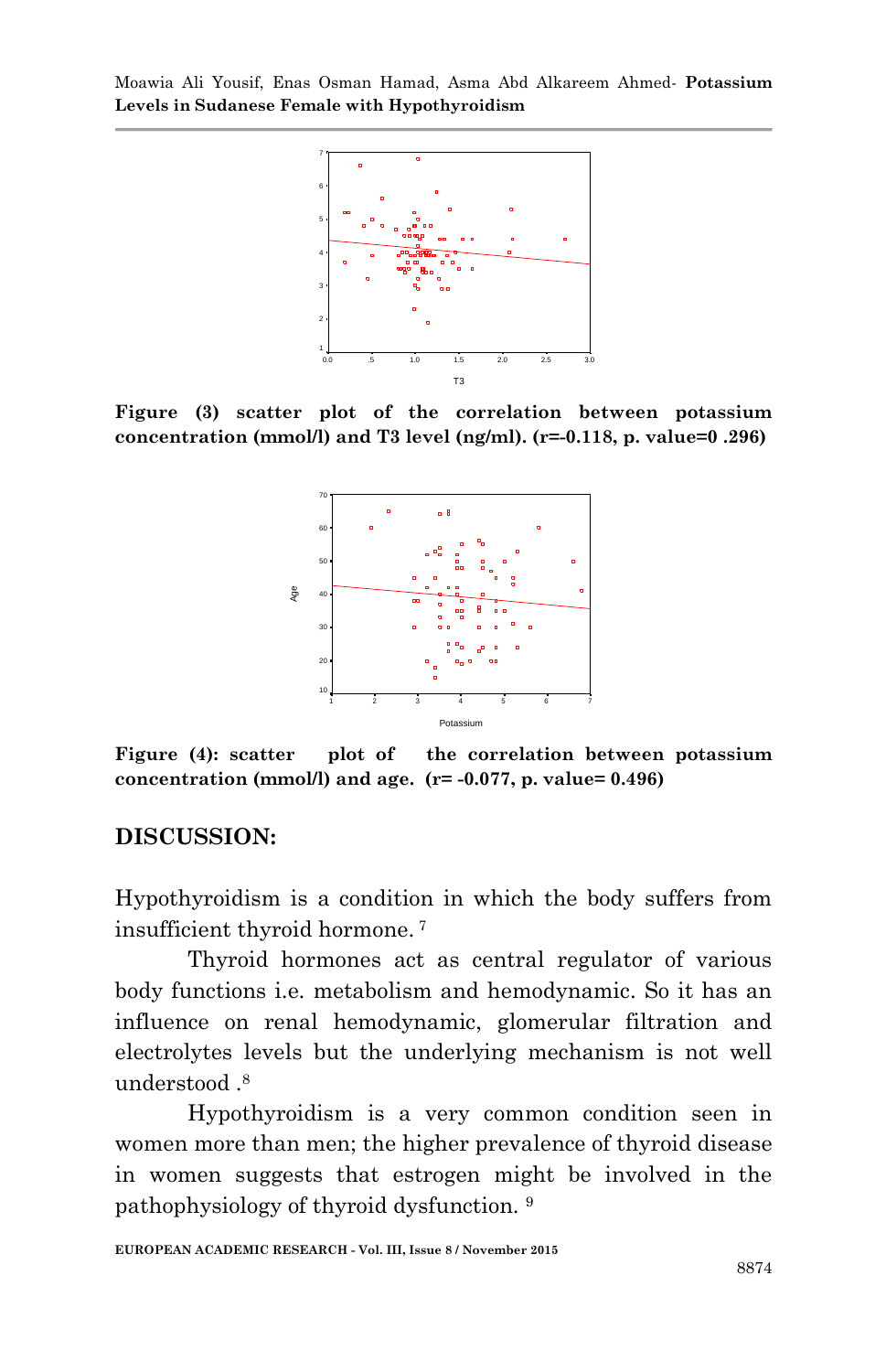Moawia Ali Yousif, Enas Osman Hamad, Asma Abd Alkareem Ahmed*-* **Potassium Levels in Sudanese Female with Hypothyroidism**



**Figure (3) scatter plot of the correlation between potassium concentration (mmol/l) and T3 level (ng/ml). (r=-0.118, p. value=0 .296)**



**Figure (4): scatter plot of the correlation between potassium concentration (mmol/l) and age. (r= -0.077, p. value= 0.496)**

#### **DISCUSSION:**

Hypothyroidism is a condition in which the body suffers from insufficient thyroid hormone. <sup>7</sup>

Thyroid hormones act as central regulator of various body functions i.e. metabolism and hemodynamic. So it has an influence on renal hemodynamic, glomerular filtration and electrolytes levels but the underlying mechanism is not well understood .<sup>8</sup>

Hypothyroidism is a very common condition seen in women more than men; the higher prevalence of thyroid disease in women suggests that estrogen might be involved in the pathophysiology of thyroid dysfunction. 9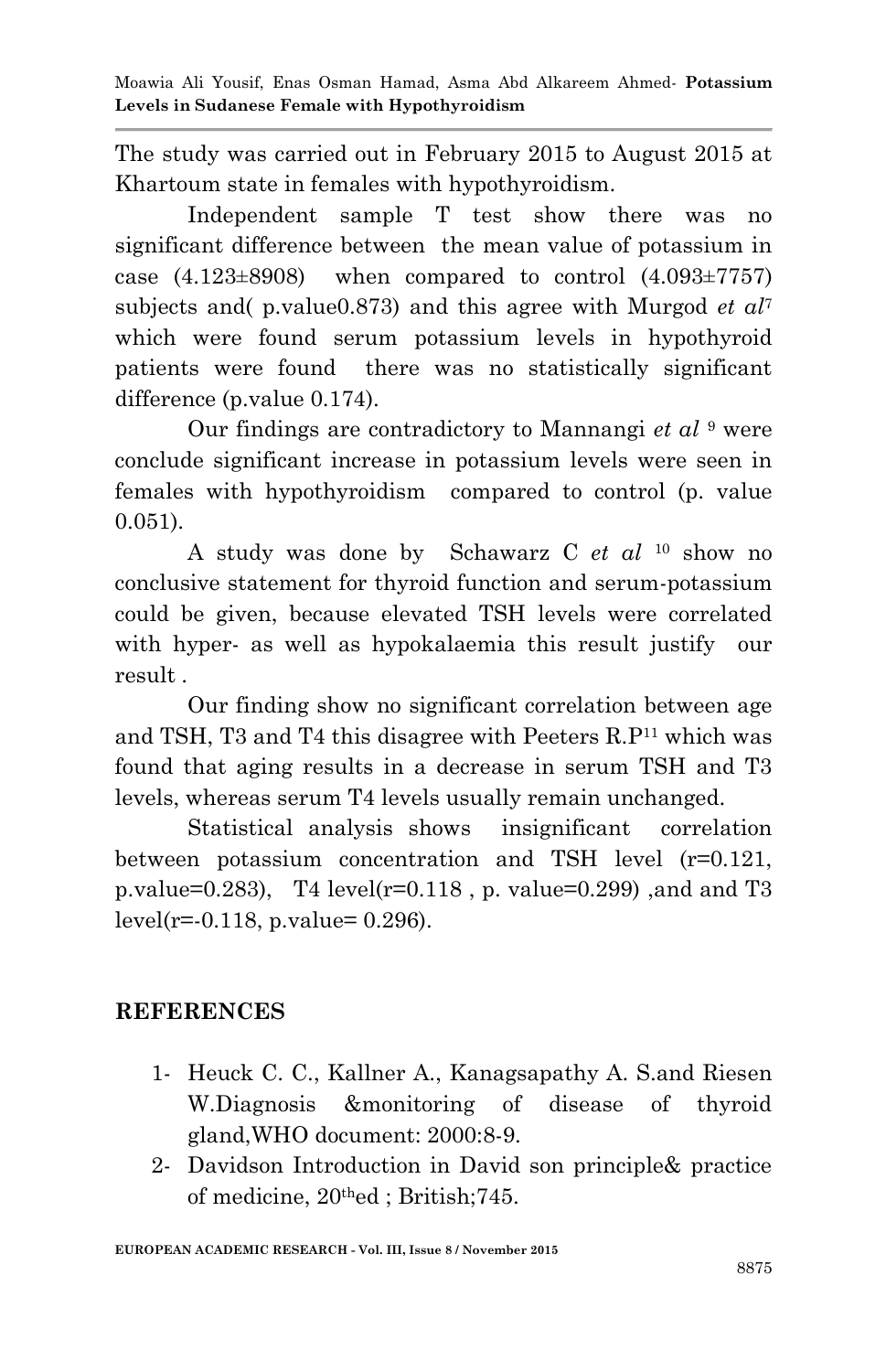The study was carried out in February 2015 to August 2015 at Khartoum state in females with hypothyroidism.

Independent sample T test show there was no significant difference between the mean value of potassium in case  $(4.123\pm8908)$  when compared to control  $(4.093\pm7757)$ subjects and( p.value0.873) and this agree with Murgod *et al*<sup>7</sup> which were found serum potassium levels in hypothyroid patients were found there was no statistically significant difference (p.value 0.174).

Our findings are contradictory to Mannangi *et al* <sup>9</sup> were conclude significant increase in potassium levels were seen in females with hypothyroidism compared to control (p. value 0.051).

A study was done by Schawarz C *et al* <sup>10</sup> show no conclusive statement for thyroid function and serum-potassium could be given, because elevated TSH levels were correlated with hyper- as well as hypokalaemia this result justify our result .

Our finding show no significant correlation between age and TSH, T3 and T4 this disagree with Peeters R.P<sup>11</sup> which was found that aging results in a decrease in serum TSH and T3 levels, whereas serum T4 levels usually remain unchanged.

Statistical analysis shows insignificant correlation between potassium concentration and TSH level (r=0.121, p.value=0.283), T4 level( $r=0.118$ , p. value=0.299), and and T3  $level(r=.0.118, p.value= 0.296).$ 

## **REFERENCES**

- 1- Heuck C. C., Kallner A., Kanagsapathy A. S.and Riesen W.Diagnosis &monitoring of disease of thyroid gland,WHO document: 2000:8-9.
- 2- Davidson Introduction in David son principle& practice of medicine, 20thed ; British;745.